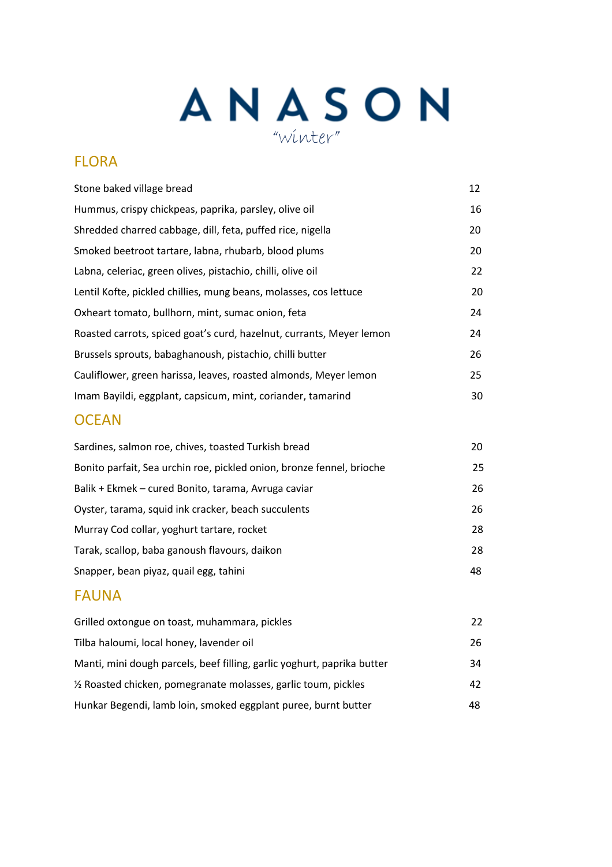# ANASON

### FLORA

| Stone baked village bread                                            | 12 |
|----------------------------------------------------------------------|----|
| Hummus, crispy chickpeas, paprika, parsley, olive oil                | 16 |
| Shredded charred cabbage, dill, feta, puffed rice, nigella           | 20 |
| Smoked beetroot tartare, labna, rhubarb, blood plums                 | 20 |
| Labna, celeriac, green olives, pistachio, chilli, olive oil          | 22 |
| Lentil Kofte, pickled chillies, mung beans, molasses, cos lettuce    | 20 |
| Oxheart tomato, bullhorn, mint, sumac onion, feta                    | 24 |
| Roasted carrots, spiced goat's curd, hazelnut, currants, Meyer lemon | 24 |
| Brussels sprouts, babaghanoush, pistachio, chilli butter             | 26 |
| Cauliflower, green harissa, leaves, roasted almonds, Meyer lemon     | 25 |
| Imam Bayildi, eggplant, capsicum, mint, coriander, tamarind          | 30 |

### **OCEAN**

| Sardines, salmon roe, chives, toasted Turkish bread                   | 20 |
|-----------------------------------------------------------------------|----|
| Bonito parfait, Sea urchin roe, pickled onion, bronze fennel, brioche | 25 |
| Balik + Ekmek – cured Bonito, tarama, Avruga caviar                   | 26 |
| Oyster, tarama, squid ink cracker, beach succulents                   | 26 |
| Murray Cod collar, yoghurt tartare, rocket                            | 28 |
| Tarak, scallop, baba ganoush flavours, daikon                         | 28 |
| Snapper, bean piyaz, quail egg, tahini                                | 48 |
|                                                                       |    |

#### FAUNA

| Grilled oxtongue on toast, muhammara, pickles                           | 22 |
|-------------------------------------------------------------------------|----|
| Tilba haloumi, local honey, lavender oil                                | 26 |
| Manti, mini dough parcels, beef filling, garlic yoghurt, paprika butter | 34 |
| 1/2 Roasted chicken, pomegranate molasses, garlic toum, pickles         | 42 |
| Hunkar Begendi, lamb loin, smoked eggplant puree, burnt butter          | 48 |